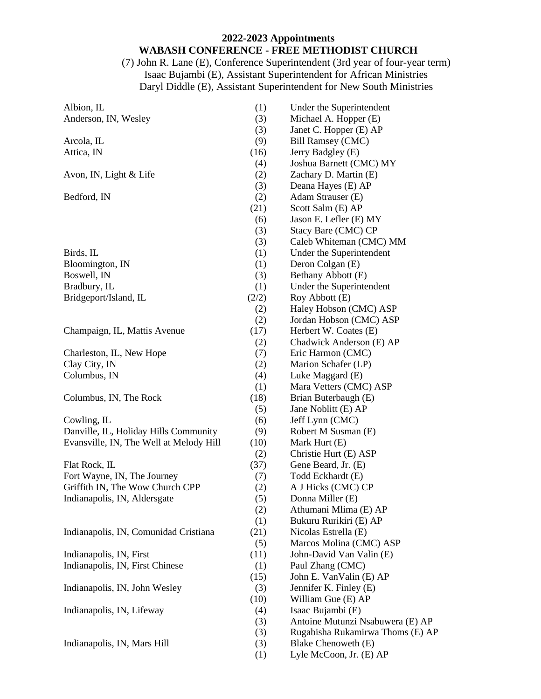### **2022-2023 Appointments WABASH CONFERENCE - FREE METHODIST CHURCH**

(7) John R. Lane (E), Conference Superintendent (3rd year of four-year term) Isaac Bujambi (E), Assistant Superintendent for African Ministries Daryl Diddle (E), Assistant Superintendent for New South Ministries

| Albion, IL                              | (1)   | Under the Superintendent         |
|-----------------------------------------|-------|----------------------------------|
| Anderson, IN, Wesley                    | (3)   | Michael A. Hopper (E)            |
|                                         | (3)   | Janet C. Hopper (E) AP           |
| Arcola, IL                              | (9)   | <b>Bill Ramsey (CMC)</b>         |
| Attica, IN                              | (16)  | Jerry Badgley (E)                |
|                                         | (4)   | Joshua Barnett (CMC) MY          |
| Avon, IN, Light & Life                  | (2)   | Zachary D. Martin (E)            |
|                                         | (3)   | Deana Hayes (E) AP               |
| Bedford, IN                             | (2)   | Adam Strauser (E)                |
|                                         | (21)  | Scott Salm (E) AP                |
|                                         | (6)   | Jason E. Lefler (E) MY           |
|                                         | (3)   | Stacy Bare (CMC) CP              |
|                                         | (3)   | Caleb Whiteman (CMC) MM          |
| Birds, IL                               | (1)   | Under the Superintendent         |
| Bloomington, IN                         | (1)   | Deron Colgan (E)                 |
| Boswell, IN                             | (3)   | Bethany Abbott (E)               |
| Bradbury, IL                            | (1)   | Under the Superintendent         |
| Bridgeport/Island, IL                   | (2/2) | Roy Abbott (E)                   |
|                                         | (2)   | Haley Hobson (CMC) ASP           |
|                                         | (2)   | Jordan Hobson (CMC) ASP          |
| Champaign, IL, Mattis Avenue            | (17)  | Herbert W. Coates (E)            |
|                                         | (2)   | Chadwick Anderson (E) AP         |
| Charleston, IL, New Hope                | (7)   | Eric Harmon (CMC)                |
| Clay City, IN                           | (2)   | Marion Schafer (LP)              |
| Columbus, IN                            | (4)   | Luke Maggard (E)                 |
|                                         | (1)   | Mara Vetters (CMC) ASP           |
| Columbus, IN, The Rock                  | (18)  | Brian Buterbaugh (E)             |
|                                         | (5)   | Jane Noblitt (E) AP              |
| Cowling, IL                             | (6)   | Jeff Lynn (CMC)                  |
| Danville, IL, Holiday Hills Community   | (9)   | Robert M Susman (E)              |
| Evansville, IN, The Well at Melody Hill | (10)  | Mark Hurt (E)                    |
|                                         | (2)   | Christie Hurt (E) ASP            |
| Flat Rock, IL                           | (37)  | Gene Beard, Jr. (E)              |
| Fort Wayne, IN, The Journey             | (7)   | Todd Eckhardt (E)                |
| Griffith IN, The Wow Church CPP         | (2)   | A J Hicks (CMC) CP               |
| Indianapolis, IN, Aldersgate            | (5)   | Donna Miller (E)                 |
|                                         | (2)   | Athumani Mlima (E) AP            |
|                                         | (1)   | Bukuru Rurikiri (E) AP           |
| Indianapolis, IN, Comunidad Cristiana   | (21)  | Nicolas Estrella (E)             |
|                                         | (5)   | Marcos Molina (CMC) ASP          |
| Indianapolis, IN, First                 | (11)  | John-David Van Valin (E)         |
| Indianapolis, IN, First Chinese         | (1)   | Paul Zhang (CMC)                 |
|                                         | (15)  | John E. Van Valin (E) AP         |
| Indianapolis, IN, John Wesley           | (3)   | Jennifer K. Finley (E)           |
|                                         | (10)  | William Gue (E) AP               |
| Indianapolis, IN, Lifeway               | (4)   | Isaac Bujambi (E)                |
|                                         | (3)   | Antoine Mutunzi Nsabuwera (E) AP |
|                                         | (3)   | Rugabisha Rukamirwa Thoms (E) AP |
| Indianapolis, IN, Mars Hill             | (3)   | Blake Chenoweth (E)              |
|                                         |       | Lyle McCoon, Jr. (E) AP          |
|                                         | (1)   |                                  |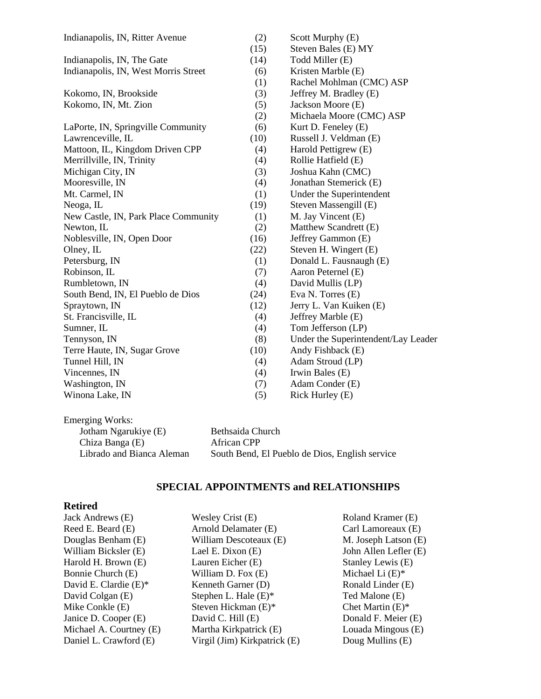| Indianapolis, IN, Ritter Avenue      | (2)  | Scott Murphy (E)                    |
|--------------------------------------|------|-------------------------------------|
|                                      | (15) | Steven Bales (E) MY                 |
| Indianapolis, IN, The Gate           | (14) | Todd Miller (E)                     |
| Indianapolis, IN, West Morris Street | (6)  | Kristen Marble (E)                  |
|                                      | (1)  | Rachel Mohlman (CMC) ASP            |
| Kokomo, IN, Brookside                | (3)  | Jeffrey M. Bradley (E)              |
| Kokomo, IN, Mt. Zion                 | (5)  | Jackson Moore (E)                   |
|                                      | (2)  | Michaela Moore (CMC) ASP            |
| LaPorte, IN, Springville Community   | (6)  | Kurt D. Feneley (E)                 |
| Lawrenceville, IL                    | (10) | Russell J. Veldman (E)              |
| Mattoon, IL, Kingdom Driven CPP      | (4)  | Harold Pettigrew (E)                |
| Merrillville, IN, Trinity            | (4)  | Rollie Hatfield (E)                 |
| Michigan City, IN                    | (3)  | Joshua Kahn (CMC)                   |
| Mooresville, IN                      | (4)  | Jonathan Stemerick (E)              |
| Mt. Carmel, IN                       | (1)  | Under the Superintendent            |
| Neoga, IL                            | (19) | Steven Massengill (E)               |
| New Castle, IN, Park Place Community | (1)  | M. Jay Vincent (E)                  |
| Newton, IL                           | (2)  | Matthew Scandrett (E)               |
| Noblesville, IN, Open Door           | (16) | Jeffrey Gammon (E)                  |
| Olney, IL                            | (22) | Steven H. Wingert (E)               |
| Petersburg, IN                       | (1)  | Donald L. Fausnaugh (E)             |
| Robinson, IL                         | (7)  | Aaron Peternel (E)                  |
| Rumbletown, IN                       | (4)  | David Mullis (LP)                   |
| South Bend, IN, El Pueblo de Dios    | (24) | Eva N. Torres (E)                   |
| Spraytown, IN                        | (12) | Jerry L. Van Kuiken (E)             |
| St. Francisville, IL                 | (4)  | Jeffrey Marble (E)                  |
| Sumner, IL                           | (4)  | Tom Jefferson (LP)                  |
| Tennyson, IN                         | (8)  | Under the Superintendent/Lay Leader |
| Terre Haute, IN, Sugar Grove         | (10) | Andy Fishback (E)                   |
| Tunnel Hill, IN                      | (4)  | Adam Stroud (LP)                    |
| Vincennes, IN                        | (4)  | Irwin Bales (E)                     |
| Washington, IN                       | (7)  | Adam Conder (E)                     |
| Winona Lake, IN                      | (5)  | Rick Hurley (E)                     |
|                                      |      |                                     |

| Emerging Works:           |                                                |
|---------------------------|------------------------------------------------|
| Jotham Ngarukiye (E)      | Bethsaida Church                               |
| Chiza Banga (E)           | African CPP                                    |
| Librado and Bianca Aleman | South Bend, El Pueblo de Dios, English service |

# **SPECIAL APPOINTMENTS and RELATIONSHIPS**

## **Retired**

| Jack Andrews (E)         | Wesley Crist (E)             | <b>Roland Kramer</b>          |
|--------------------------|------------------------------|-------------------------------|
| Reed E. Beard (E)        | Arnold Delamater (E)         | Carl Lamoreau                 |
| Douglas Benham (E)       | William Descoteaux (E)       | M. Joseph Lats                |
| William Bicksler (E)     | Lael E. Dixon (E)            | John Allen Lef.               |
| Harold H. Brown (E)      | Lauren Eicher (E)            | Stanley Lewis                 |
| Bonnie Church (E)        | William D. Fox (E)           | Michael Li $(E)$ <sup>:</sup> |
| David E. Clardie $(E)^*$ | Kenneth Garner (D)           | Ronald Linder                 |
| David Colgan (E)         | Stephen L. Hale $(E)^*$      | Ted Malone (E)                |
| Mike Conkle (E)          | Steven Hickman $(E)^*$       | Chet Martin (E)               |
| Janice D. Cooper (E)     | David C. Hill (E)            | Donald F. Meie                |
| Michael A. Courtney (E)  | Martha Kirkpatrick (E)       | Louada Mingou                 |
| Daniel L. Crawford (E)   | Virgil (Jim) Kirkpatrick (E) | Doug Mullins (                |
|                          |                              |                               |

 $E(E)$  $\overrightarrow{E}$  $\sin (E)$  $\text{ler}$  (E)  $(E)$ Michael Li (E)\*  $(E)$ Ted Malone (E)  $)$ \*  $er(E)$  $us(E)$  $\log$  Mullins (E)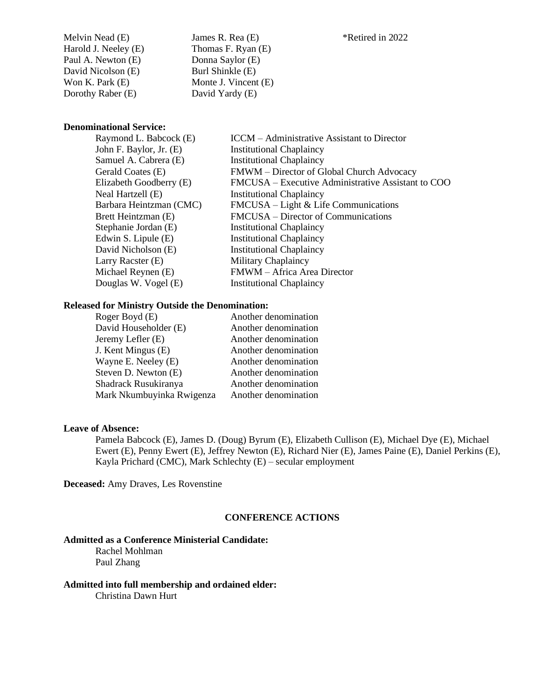Melvin Nead (E) Harold J. Neeley (E) Paul A. Newton (E) David Nicolson (E) Won K. Park (E) Dorothy Raber (E)

James R. Rea (E) Thomas F. Ryan (E) Donna Saylor (E) Burl Shinkle (E) Monte J. Vincent (E) David Yardy (E)

### **Denominational Service:**

| Raymond L. Babcock (E)  | <b>ICCM</b> – Administrative Assistant to Director |
|-------------------------|----------------------------------------------------|
| John F. Baylor, Jr. (E) | <b>Institutional Chaplaincy</b>                    |
| Samuel A. Cabrera (E)   | <b>Institutional Chaplaincy</b>                    |
| Gerald Coates (E)       | FMWM - Director of Global Church Advocacy          |
| Elizabeth Goodberry (E) | FMCUSA – Executive Administrative Assistant to COO |
| Neal Hartzell (E)       | <b>Institutional Chaplaincy</b>                    |
| Barbara Heintzman (CMC) | $FMCUSA - Light & Life Communications$             |
| Brett Heintzman (E)     | FMCUSA – Director of Communications                |
| Stephanie Jordan (E)    | <b>Institutional Chaplaincy</b>                    |
| Edwin S. Lipule (E)     | <b>Institutional Chaplaincy</b>                    |
| David Nicholson (E)     | <b>Institutional Chaplaincy</b>                    |
| Larry Racster (E)       | Military Chaplaincy                                |
| Michael Reynen (E)      | FMWM - Africa Area Director                        |
| Douglas W. Vogel (E)    | <b>Institutional Chaplaincy</b>                    |
|                         |                                                    |

#### **Released for Ministry Outside the Denomination:**

| Roger Boyd (E)            | Another denomination |
|---------------------------|----------------------|
| David Householder (E)     | Another denomination |
| Jeremy Lefler (E)         | Another denomination |
| J. Kent Mingus (E)        | Another denomination |
| Wayne E. Neeley (E)       | Another denomination |
| Steven D. Newton (E)      | Another denomination |
| Shadrack Rusukiranya      | Another denomination |
| Mark Nkumbuyinka Rwigenza | Another denomination |
|                           |                      |

#### **Leave of Absence:**

Pamela Babcock (E), James D. (Doug) Byrum (E), Elizabeth Cullison (E), Michael Dye (E), Michael Ewert (E), Penny Ewert (E), Jeffrey Newton (E), Richard Nier (E), James Paine (E), Daniel Perkins (E), Kayla Prichard (CMC), Mark Schlechty (E) – secular employment

**Deceased:** Amy Draves, Les Rovenstine

#### **CONFERENCE ACTIONS**

### **Admitted as a Conference Ministerial Candidate:**

Rachel Mohlman Paul Zhang

#### **Admitted into full membership and ordained elder:** Christina Dawn Hurt